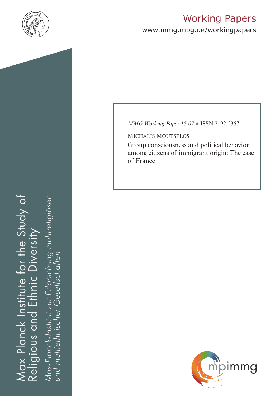

# Working Papers

www.mmg.mpg.de/workingpapers

# Max Planck Institute for the Study of Religious and Ethnic Diversity ax Planck Institute for the Study of nic Diversity ய் Religious and

*Max-Planck-Institut zur Erforschung multireligiöser*  öser Max-Planck-Institut zur Erforschung multireligie *und multiethnischer Gesellschaften*und multiethnischer Gesellschaften *MMG Working Paper 15-07* ● ISSN 2192-2357

Michalis Moutselos

Group consciousness and political behavior among citizens of immigrant origin: The case of France

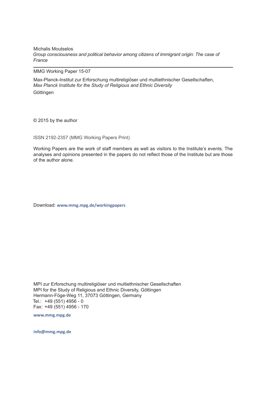Michalis Moutselos *Group consciousness and political behavior among citizens of immigrant origin: The case of France* 

MMG Working Paper 15-07

Max-Planck-Institut zur Erforschung multireligiöser und multiethnischer Gesellschaften, *Max Planck Institute for the Study of Religious and Ethnic Diversity* Göttingen

© 2015 by the author

ISSN 2192-2357 (MMG Working Papers Print)

Working Papers are the work of staff members as well as visitors to the Institute's events. The analyses and opinions presented in the papers do not reflect those of the Institute but are those of the author alone.

Download: **www.mmg.mpg.de/workingpapers** 

MPI zur Erforschung multireligiöser und multiethnischer Gesellschaften MPI for the Study of Religious and Ethnic Diversity, Göttingen Hermann-Föge-Weg 11, 37073 Göttingen, Germany Tel.: +49 (551) 4956 - 0 Fax: +49 (551) 4956 - 170

**www.mmg.mpg.de**

**info@mmg.mpg.de**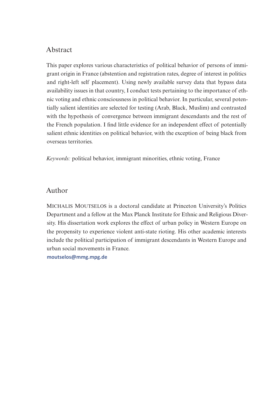# Abstract

This paper explores various characteristics of political behavior of persons of immigrant origin in France (abstention and registration rates, degree of interest in politics and right-left self placement). Using newly available survey data that bypass data availability issues in that country, I conduct tests pertaining to the importance of ethnic voting and ethnic consciousness in political behavior. In particular, several potentially salient identities are selected for testing (Arab, Black, Muslim) and contrasted with the hypothesis of convergence between immigrant descendants and the rest of the French population. I find little evidence for an independent effect of potentially salient ethnic identities on political behavior, with the exception of being black from overseas territories.

*Keywords:* political behavior, immigrant minorities, ethnic voting, France

### Author

Michalis Moutselos is a doctoral candidate at Princeton University's Politics Department and a fellow at the Max Planck Institute for Ethnic and Religious Diversity. His dissertation work explores the effect of urban policy in Western Europe on the propensity to experience violent anti-state rioting. His other academic interests include the political participation of immigrant descendants in Western Europe and urban social movements in France.

**[moutselos@mmg.mpg.de](mailto:moutselos%40mmg.mpg.de?subject=WP%2015-07)**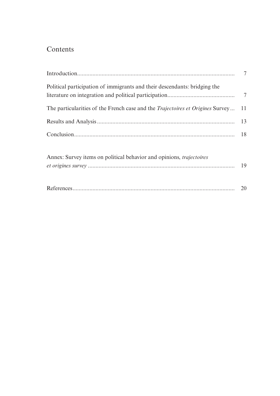# Contents

| Political participation of immigrants and their descendants: bridging the                |    |
|------------------------------------------------------------------------------------------|----|
| The particularities of the French case and the <i>Trajectoires et Origines</i> Survey 11 |    |
|                                                                                          |    |
|                                                                                          | 18 |
| Annex: Survey items on political behavior and opinions, <i>trajectoires</i>              | 19 |
|                                                                                          |    |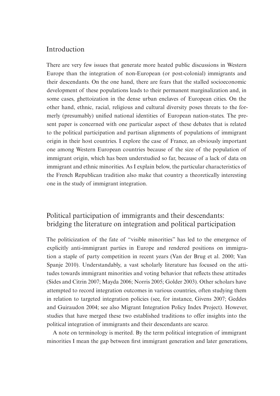# Introduction

There are very few issues that generate more heated public discussions in Western Europe than the integration of non-European (or post-colonial) immigrants and their descendants. On the one hand, there are fears that the stalled socioeconomic development of these populations leads to their permanent marginalization and, in some cases, ghettoization in the dense urban enclaves of European cities. On the other hand, ethnic, racial, religious and cultural diversity poses threats to the formerly (presumably) unified national identities of European nation-states. The present paper is concerned with one particular aspect of these debates that is related to the political participation and partisan alignments of populations of immigrant origin in their host countries. I explore the case of France, an obviously important one among Western European countries because of the size of the population of immigrant origin, which has been understudied so far, because of a lack of data on immigrant and ethnic minorities. As I explain below, the particular characteristics of the French Republican tradition also make that country a theoretically interesting one in the study of immigrant integration.

# Political participation of immigrants and their descendants: bridging the literature on integration and political participation

The politicization of the fate of "visible minorities" has led to the emergence of explicitly anti-immigrant parties in Europe and rendered positions on immigration a staple of party competition in recent years (Van der Brug et al. 2000; Van Spanje 2010). Understandably, a vast scholarly literature has focused on the attitudes towards immigrant minorities and voting behavior that reflects these attitudes (Sides and Citrin 2007; Mayda 2006; Norris 2005; Golder 2003). Other scholars have attempted to record integration outcomes in various countries, often studying them in relation to targeted integration policies (see, for instance, Givens 2007; Geddes and Guiraudon 2004; see also Migrant Integration Policy Index Project). However, studies that have merged these two established traditions to offer insights into the political integration of immigrants and their descendants are scarce.

A note on terminology is merited. By the term political integration of immigrant minorities I mean the gap between first immigrant generation and later generations,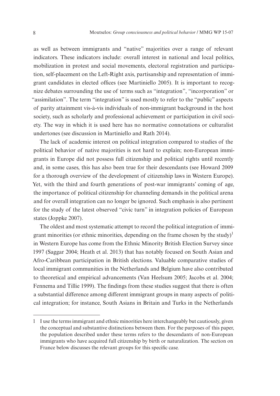as well as between immigrants and "native" majorities over a range of relevant indicators. These indicators include: overall interest in national and local politics, mobilization in protest and social movements, electoral registration and participation, self-placement on the Left-Right axis, partisanship and representation of immigrant candidates in elected offices (see Martiniello 2005). It is important to recognize debates surrounding the use of terms such as "integration", "incorporation" or "assimilation". The term "integration" is used mostly to refer to the "public" aspects of parity attainment vis-à-vis individuals of non-immigrant background in the host society, such as scholarly and professional achievement or participation in civil society. The way in which it is used here has no normative connotations or culturalist undertones (see discussion in Martiniello and Rath 2014).

The lack of academic interest on political integration compared to studies of the political behavior of native majorities is not hard to explain; non-European immigrants in Europe did not possess full citizenship and political rights until recently and, in some cases, this has also been true for their descendants (see Howard 2009 for a thorough overview of the development of citizenship laws in Western Europe). Yet, with the third and fourth generations of post-war immigrants' coming of age, the importance of political citizenship for channeling demands in the political arena and for overall integration can no longer be ignored. Such emphasis is also pertinent for the study of the latest observed "civic turn" in integration policies of European states (Joppke 2007).

The oldest and most systematic attempt to record the political integration of immigrant minorities (or ethnic minorities, depending on the frame chosen by the study)<sup>1</sup> in Western Europe has come from the Ethnic Minority British Election Survey since 1997 (Saggar 2004; Heath et al. 2013) that has notably focused on South Asian and Afro-Caribbean participation in British elections. Valuable comparative studies of local immigrant communities in the Netherlands and Belgium have also contributed to theoretical and empirical advancements (Van Heelsum 2005; Jacobs et al. 2004; Fennema and Tillie 1999). The findings from these studies suggest that there is often a substantial difference among different immigrant groups in many aspects of political integration; for instance, South Asians in Britain and Turks in the Netherlands

<sup>1</sup> I use the terms immigrant and ethnic minorities here interchangeably but cautiously, given the conceptual and substantive distinctions between them. For the purposes of this paper, the population described under these terms refers to the descendants of non-European immigrants who have acquired full citizenship by birth or naturalization. The section on France below discusses the relevant groups for this specific case.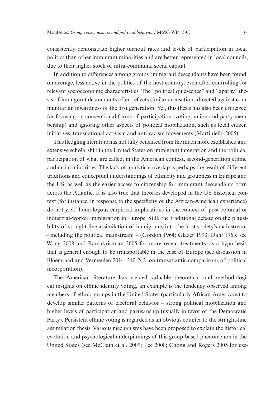consistently demonstrate higher turnout rates and levels of participation in local politics than other immigrant minorities and are better represented in local councils, due to their higher stock of intra-communal social capital.

In addition to differences among groups, immigrant descendants have been found, on average, less active in the politics of the host country, even after controlling for relevant socioeconomic characteristics. The "political quiescence" and "apathy" thesis of immigrant descendants often reflects similar accusations directed against communitarian inwardness of the first generation. Yet, this thesis has also been criticized for focusing on conventional forms of participation (voting, union and party membership) and ignoring other aspects of political mobilization, such as local citizen initiatives, transnational activism and anti-racism movements (Martiniello 2005).

This fledgling literature has not fully benefited from the much more established and extensive scholarship in the United States on immigrant integration and the political participation of what are called, in the American context, second-generation ethnic and racial minorities. The lack of analytical overlap is perhaps the result of different traditions and conceptual understandings of ethnicity and groupness in Europe and the US, as well as the easier access to citizenship for immigrant descendants born across the Atlantic. It is also true that theories developed in the US historical context (for instance, in response to the specificity of the African-American experience) do not yield homologous empirical implications in the context of post-colonial or industrial-worker immigration in Europe. Still, the traditional debate on the plausibility of straight-line assimilation of immigrants into the host society's mainstream – including the political mainstream – (Gordon 1964; Glazer 1993; Dahl 1963; see Wong 2008 and Ramakrishnan 2005 for more recent treatments) is a hypothesis that is general enough to be transportable in the case of Europe (see discussion in Bloemraad and Vermeulen 2014, 240-242, on transatlantic comparisons of political incorporation).

The American literature has yielded valuable theoretical and methodological insights on ethnic identity voting, an example is the tendency observed among members of ethnic groups in the United States (particularly African-Americans) to develop similar patterns of electoral behavior – strong political mobilization and higher levels of participation and partisanship (usually in favor of the Democratic Party). Persistent ethnic voting is regarded as an obvious counter to the straight-line assimilation thesis. Various mechanisms have been proposed to explain the historical evolution and psychological underpinnings of this group-based phenomenon in the United States (see McClain et al. 2009; Lee 2008; Chong and Rogers 2005 for use-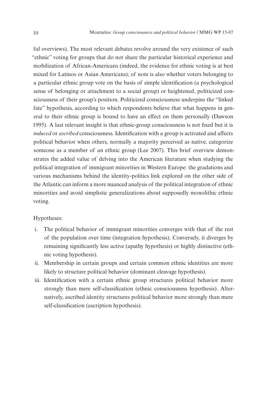ful overviews). The most relevant debates revolve around the very existence of such "ethnic" voting for groups that do not share the particular historical experience and mobilization of African-Americans (indeed, the evidence for ethnic voting is at best mixed for Latinos or Asian Americans); of note is also whether voters belonging to a particular ethnic group vote on the basis of simple identification (a psychological sense of belonging or attachment to a social group) or heightened, politicized consciousness of their group's position. Politicized consciousness underpins the "linked fate" hypothesis, according to which respondents believe that what happens in general to their ethnic group is bound to have an effect on them personally (Dawson 1995). A last relevant insight is that ethnic-group consciousness is not fixed but it is *induced* or *ascribed* consciousness. Identification with a group is activated and affects political behavior when others, normally a majority perceived as native, categorize someone as a member of an ethnic group (Lee 2007). This brief overview demonstrates the added value of delving into the American literature when studying the political integration of immigrant minorities in Western Europe: the gradations and various mechanisms behind the identity-politics link explored on the other side of the Atlantic can inform a more nuanced analysis of the political integration of ethnic minorities and avoid simplistic generalizations about supposedly monolithic ethnic voting.

#### Hypotheses:

- i. The political behavior of immigrant minorities converges with that of the rest of the population over time (integration hypothesis). Conversely, it diverges by remaining significantly less active (apathy hypothesis) or highly distinctive (ethnic voting hypothesis).
- ii. Membership in certain groups and certain common ethnic identities are more likely to structure political behavior (dominant cleavage hypothesis).
- iii. Identification with a certain ethnic group structures political behavior more strongly than mere self-classification (ethnic consciousness hypothesis). Alternatively, ascribed identity structures political behavior more strongly than mere self-classification (ascription hypothesis).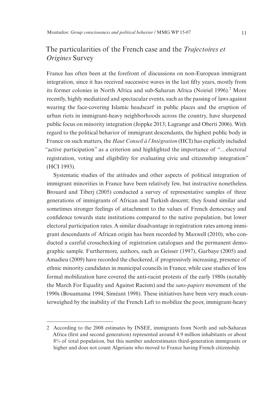# The particularities of the French case and the *Trajectoires et Origines* Survey

France has often been at the forefront of discussions on non-European immigrant integration, since it has received successive waves in the last fifty years, mostly from its former colonies in North Africa and sub-Saharan Africa (Noiriel 1996).<sup>2</sup> More recently, highly mediatized and spectacular events, such as the passing of laws against wearing the face-covering Islamic headscarf in public places and the eruption of urban riots in immigrant-heavy neighborhoods across the country, have sharpened public focus on minority integration (Joppke 2013; Lagrange and Oberti 2006). With regard to the political behavior of immigrant descendants, the highest public body in France on such matters, the *Haut Conseil à l'Intégration* (HCI) has explicitly included "active participation" as a criterion and highlighted the importance of "…electoral registration, voting and eligibility for evaluating civic and citizenship integration" (HCI 1993).

Systematic studies of the attitudes and other aspects of political integration of immigrant minorities in France have been relatively few, but instructive nonetheless. Brouard and Tiberj (2005) conducted a survey of representative samples of three generations of immigrants of African and Turkish descent; they found similar and sometimes stronger feelings of attachment to the values of French democracy and confidence towards state institutions compared to the native population, but lower electoral participation rates. A similar disadvantage in registration rates among immigrant descendants of African origin has been recorded by Maxwell (2010), who conducted a careful crosschecking of registration catalogues and the permanent demographic sample. Furthermore, authors, such as Geisser (1997), Garbaye (2005) and Amadieu (2009) have recorded the checkered, if progressively increasing, presence of ethnic minority candidates in municipal councils in France, while case studies of less formal mobilization have covered the anti-racist protests of the early 1980s (notably the March For Equality and Against Racism) and the *sans-papiers* movement of the 1990s (Bouamama 1994; Siméant 1998). These initiatives have been very much counterweighed by the inability of the French Left to mobilize the poor, immigrant-heavy

<sup>2</sup> According to the 2008 estimates by INSEE, immigrants from North and sub-Saharan Africa (first and second generation) represented around 4.9 million inhabitants or about 8% of total population, but this number underestimates third-generation immigrants or higher and does not count Algerians who moved to France having French citizenship.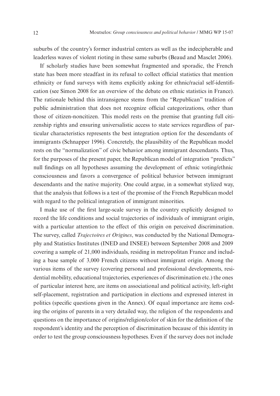suburbs of the country's former industrial centers as well as the indecipherable and leaderless waves of violent rioting in these same suburbs (Beaud and Masclet 2006).

If scholarly studies have been somewhat fragmented and sporadic, the French state has been more steadfast in its refusal to collect official statistics that mention ethnicity or fund surveys with items explicitly asking for ethnic/racial self-identification (see Simon 2008 for an overview of the debate on ethnic statistics in France). The rationale behind this intransigence stems from the "Republican" tradition of public administration that does not recognize official categorizations, other than those of citizen-noncitizen. This model rests on the premise that granting full citizenship rights and ensuring universalistic access to state services regardless of particular characteristics represents the best integration option for the descendants of immigrants (Schnapper 1996). Concretely, the plausibility of the Republican model rests on the "normalization" of civic behavior among immigrant descendants. Thus, for the purposes of the present paper, the Republican model of integration "predicts" null findings on all hypotheses assuming the development of ethnic voting/ethnic consciousness and favors a convergence of political behavior between immigrant descendants and the native majority. One could argue, in a somewhat stylized way, that the analysis that follows is a test of the promise of the French Republican model with regard to the political integration of immigrant minorities.

I make use of the first large-scale survey in the country explicitly designed to record the life conditions and social trajectories of individuals of immigrant origin, with a particular attention to the effect of this origin on perceived discrimination. The survey, called *Trajectoires et Origines*, was conducted by the National Demography and Statistics Institutes (INED and INSEE) between September 2008 and 2009 covering a sample of 21,000 individuals, residing in metropolitan France and including a base sample of 3,000 French citizens without immigrant origin. Among the various items of the survey (covering personal and professional developments, residential mobility, educational trajectories, experiences of discrimination etc.) the ones of particular interest here, are items on associational and political activity, left-right self-placement, registration and participation in elections and expressed interest in politics (specific questions given in the Annex). Of equal importance are items coding the origins of parents in a very detailed way, the religion of the respondents and questions on the importance of origins/religion/color of skin for the definition of the respondent's identity and the perception of discrimination because of this identity in order to test the group consciousness hypotheses. Even if the survey does not include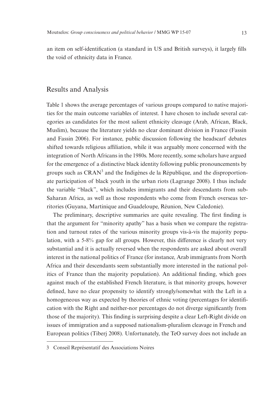an item on self-identification (a standard in US and British surveys), it largely fills the void of ethnicity data in France.

#### Results and Analysis

Table 1 shows the average percentages of various groups compared to native majorities for the main outcome variables of interest. I have chosen to include several categories as candidates for the most salient ethnicity cleavage (Arab, African, Black, Muslim), because the literature yields no clear dominant division in France (Fassin and Fassin 2006). For instance, public discussion following the headscarf debates shifted towards religious affiliation, while it was arguably more concerned with the integration of North Africans in the 1980s. More recently, some scholars have argued for the emergence of a distinctive black identity following public pronouncements by groups such as  $CRAM<sup>3</sup>$  and the Indigènes de la République, and the disproportionate participation of black youth in the urban riots (Lagrange 2008). I thus include the variable "black", which includes immigrants and their descendants from sub-Saharan Africa, as well as those respondents who come from French overseas territories (Guyana, Martinique and Guadeloupe, Réunion, New Caledonie).

The preliminary, descriptive summaries are quite revealing. The first finding is that the argument for "minority apathy" has a basis when we compare the registration and turnout rates of the various minority groups vis-à-vis the majority population, with a 5-8% gap for all groups. However, this difference is clearly not very substantial and it is actually reversed when the respondents are asked about overall interest in the national politics of France (for instance, Arab immigrants from North Africa and their descendants seem substantially more interested in the national politics of France than the majority population). An additional finding, which goes against much of the established French literature, is that minority groups, however defined, have no clear propensity to identify strongly/somewhat with the Left in a homogeneous way as expected by theories of ethnic voting (percentages for identification with the Right and neither-nor percentages do not diverge significantly from those of the majority). This finding is surprising despite a clear Left-Right divide on issues of immigration and a supposed nationalism-pluralism cleavage in French and European politics (Tiberj 2008). Unfortunately, the TeO survey does not include an

<sup>3</sup> Conseil Représentatif des Associations Noires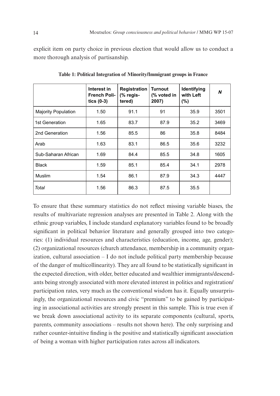explicit item on party choice in previous election that would allow us to conduct a more thorough analysis of partisanship.

|                            | Interest in<br><b>French Poli-</b><br>tics $(0-3)$ | <b>Registration</b><br>(% regis-<br>tered) | <b>Turnout</b><br>(% voted in<br>2007) | Identifying<br>with Left<br>(%) | $\boldsymbol{N}$ |
|----------------------------|----------------------------------------------------|--------------------------------------------|----------------------------------------|---------------------------------|------------------|
| <b>Majority Population</b> | 1.50                                               | 91.1                                       | 91                                     | 35.9                            | 3501             |
| 1st Generation             | 1.65                                               | 83.7                                       | 87.9                                   | 35.2                            | 3469             |
| 2nd Generation             | 1.56                                               | 85.5                                       | 86                                     | 35.8                            | 8484             |
| Arab                       | 1.63                                               | 83.1                                       | 86.5                                   | 35.6                            | 3232             |
| Sub-Saharan African        | 1.69                                               | 84.4                                       | 85.5                                   | 34.8                            | 1605             |
| <b>Black</b>               | 1.59                                               | 85.1                                       | 85.4                                   | 34.1                            | 2978             |
| <b>Muslim</b>              | 1.54                                               | 86.1                                       | 87.9                                   | 34.3                            | 4447             |
| Total                      | 1.56                                               | 86.3                                       | 87.5                                   | 35.5                            |                  |

**Table 1: Political Integration of Minority/Immigrant groups in France**

To ensure that these summary statistics do not reflect missing variable biases, the results of multivariate regression analyses are presented in Table 2. Along with the ethnic group variables, I include standard explanatory variables found to be broadly significant in political behavior literature and generally grouped into two categories: (1) individual resources and characteristics (education, income, age, gender); (2) organizational resources (church attendance, membership in a community organization, cultural association – I do not include political party membership because of the danger of multicollinearity). They are all found to be statistically significant in the expected direction, with older, better educated and wealthier immigrants/descendants being strongly associated with more elevated interest in politics and registration/ participation rates, very much as the conventional wisdom has it. Equally unsurprisingly, the organizational resources and civic "premium" to be gained by participating in associational activities are strongly present in this sample. This is true even if we break down associational activity to its separate components (cultural, sports, parents, community associations – results not shown here). The only surprising and rather counter-intuitive finding is the positive and statistically significant association of being a woman with higher participation rates across all indicators.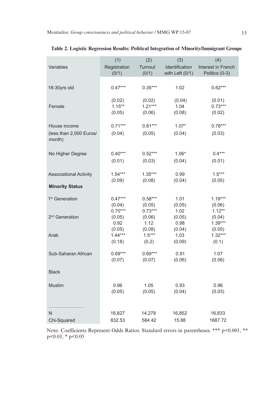|                                   | (1)            | (2)            | (3)             | (4)                 |
|-----------------------------------|----------------|----------------|-----------------|---------------------|
| Variables                         | Registration   | Turnout        | Identification  | Interest in French  |
|                                   | (0/1)          | (0/1)          | with Left (0/1) | Politics (0-3)      |
|                                   |                |                |                 |                     |
| 18-30yrs old                      | $0.47***$      | $0.35***$      | 1.02            | $0.62***$           |
|                                   |                |                |                 |                     |
|                                   | (0.02)         | (0.02)         | (0.04)          | (0.01)              |
| Female                            | $1.15***$      | $1.21***$      | 1.04            | $0.73***$           |
|                                   | (0.05)         | (0.06)         | (0.08)          | (0.02)              |
|                                   | $0.71***$      | $0.81***$      | $1.07*$         | $0.78***$           |
| House income                      |                |                |                 |                     |
| (less than 2,000 Euros/<br>month) | (0.04)         | (0.05)         | (0.04)          | (0.03)              |
|                                   |                |                |                 |                     |
| No Higher Degree                  | $0.40***$      | $0.52***$      | $1.06*$         | $0.4***$            |
|                                   | (0.01)         | (0.03)         |                 |                     |
|                                   |                |                | (0.04)          | (0.01)              |
| <b>Associational Activity</b>     | $1.54***$      | $1.35***$      | 0.99            | $1.5***$            |
|                                   | (0.09)         | (0.08)         | (0.04)          | (0.05)              |
| <b>Minority Status</b>            |                |                |                 |                     |
|                                   |                |                |                 |                     |
| 1 <sup>st</sup> Generation        | $0.47***$      | $0.58***$      | 1.01            | $1.19***$           |
|                                   | (0.04)         | (0.05)         | (0.05)          | (0.06)              |
|                                   | $0.70***$      | $0.73***$      | 1.02            | $1.12**$            |
| 2 <sup>nd</sup> Generation        | (0.05)<br>0.92 | (0.06)<br>1.12 | (0.05)<br>0.98  | (0.04)<br>$1.39***$ |
|                                   | (0.05)         | (0.08)         | (0.04)          | (0.05)              |
| Arab                              | $1.44***$      | $1.5***$       | 1.03            | $1.32***$           |
|                                   | (0.18)         | (0.2)          | (0.09)          | (0.1)               |
|                                   |                |                |                 |                     |
| Sub-Saharan African               | $0.69***$      | $0.69***$      | 0.91            | 1.07                |
|                                   | (0.07)         | (0.07)         | (0.06)          | (0.06)              |
| <b>Black</b>                      |                |                |                 |                     |
|                                   |                |                |                 |                     |
| <b>Muslim</b>                     | 0.96           | 1.05           | 0.93            | 0.96                |
|                                   | (0.05)         | (0.05)         | (0.04)          | (0.03)              |
|                                   |                |                |                 |                     |
|                                   |                |                |                 |                     |
| N                                 | 16,827         | 14,278         | 16,852          | 16,833              |
| Chi-Squared                       | 832.53         | 584.42         | 15.88           | 1687.72             |

|  | Table 2. Logistic Regression Results: Political Integration of Minority/Immigrant Groups |
|--|------------------------------------------------------------------------------------------|
|  |                                                                                          |

Note: Coefficients Represent Odds Ratios. Standard errors in parentheses. \*\*\* p<0.001, \*\*  $p<0.01$ , \*  $p<0.05$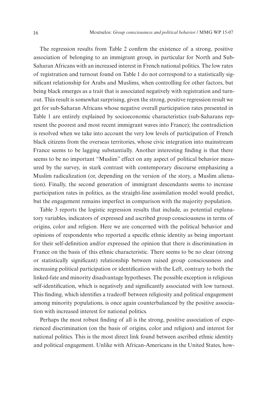The regression results from Table 2 confirm the existence of a strong, positive association of belonging to an immigrant group, in particular for North and Sub-Saharan Africans with an increased interest in French national politics. The low rates of registration and turnout found on Table 1 do not correspond to a statistically significant relationship for Arabs and Muslims, when controlling for other factors, but being black emerges as a trait that is associated negatively with registration and turnout. This result is somewhat surprising, given the strong, positive regression result we get for sub-Saharan Africans whose negative overall participation rates presented in Table 1 are entirely explained by socioeconomic characteristics (sub-Saharans represent the poorest and most recent immigrant waves into France); the contradiction is resolved when we take into account the very low levels of participation of French black citizens from the overseas territories, whose civic integration into mainstream France seems to be lagging substantially. Another interesting finding is that there seems to be no important "Muslim" effect on any aspect of political behavior measured by the survey, in stark contrast with contemporary discourse emphasizing a Muslim radicalization (or, depending on the version of the story, a Muslim alienation). Finally, the second generation of immigrant descendants seems to increase participation rates in politics, as the straight-line assimilation model would predict, but the engagement remains imperfect in comparison with the majority population.

Table 3 reports the logistic regression results that include, as potential explanatory variables, indicators of expressed and ascribed group consciousness in terms of origins, color and religion. Here we are concerned with the political behavior and opinions of respondents who reported a specific ethnic identity as being important for their self-definition and/or expressed the opinion that there is discrimination in France on the basis of this ethnic characteristic. There seems to be no clear (strong or statistically significant) relationship between raised group consciousness and increasing political participation or identification with the Left, contrary to both the linked-fate and minority disadvantage hypotheses. The possible exception is religious self-identification, which is negatively and significantly associated with low turnout. This finding, which identifies a tradeoff between religiosity and political engagement among minority populations, is once again counterbalanced by the positive association with increased interest for national politics.

Perhaps the most robust finding of all is the strong, positive association of experienced discrimination (on the basis of origins, color and religion) and interest for national politics. This is the most direct link found between ascribed ethnic identity and political engagement. Unlike with African-Americans in the United States, how-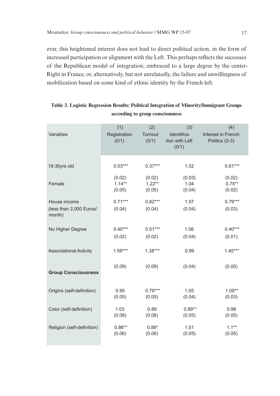ever, this heightened interest does not lead to direct political action, in the form of increased participation or alignment with the Left. This perhaps reflects the successes of the Republican model of integration, embraced to a large degree by the center-Right in France, or, alternatively, but not unrelatedly, the failure and unwillingness of mobilization based on some kind of ethnic identity by the French left.

| Variables                                         | (1)<br>Registration<br>(0/1) | (2)<br>Turnout<br>(0/1) | (3)<br>Identifica-<br>tion with Left<br>(0/1) | (4)<br>Interest in French<br>Politics (0-3) |
|---------------------------------------------------|------------------------------|-------------------------|-----------------------------------------------|---------------------------------------------|
| 18-30yrs old                                      | $0.53***$                    | $0.37***$               | 1.02                                          | $0.61***$                                   |
| Female                                            | (0.02)                       | (0.02)                  | (0.03)                                        | (0.02)                                      |
|                                                   | $1.14**$                     | $1.22**$                | 1.04                                          | $0.75***$                                   |
|                                                   | (0.05)                       | (0.05)                  | (0.04)                                        | (0.02)                                      |
| House income<br>(less than 2,000 Euros/<br>month) | $0.71***$<br>(0.04)          | $0.82***$<br>(0.04)     | 1.07<br>(0.04)                                | $0.79***$<br>(0.03)                         |
| No Higher Degree                                  | $0.40***$                    | $0.51***$               | 1.06                                          | $0.40***$                                   |
|                                                   | (0.02)                       | (0.02)                  | (0.04)                                        | (0.01)                                      |
| <b>Associational Activity</b>                     | $1.59***$                    | $1.38***$               | 0.99                                          | $1.45***$                                   |
| <b>Group Consciousness</b>                        | (0.09)                       | (0.09)                  | (0.04)                                        | (0.05)                                      |
| Origins (self-definition)                         | 0.95                         | $0.79***$               | 1.05                                          | $1.09**$                                    |
|                                                   | (0.05)                       | (0.05)                  | (0.04)                                        | (0.03)                                      |
| Color (self-definition)                           | 1.03                         | 0.89                    | $0.89**$                                      | 0.98                                        |
|                                                   | (0.08)                       | (0.08)                  | (0.05)                                        | (0.05)                                      |
| Religion (self-definition)                        | $0.86**$                     | $0.88*$                 | 1.01                                          | $1.1***$                                    |
|                                                   | (0.06)                       | (0.06)                  | (0.05)                                        | (0.05)                                      |

#### **Table 3. Logistic Regression Results: Political Integration of Minority/Immigrant Groups according to group consciousness**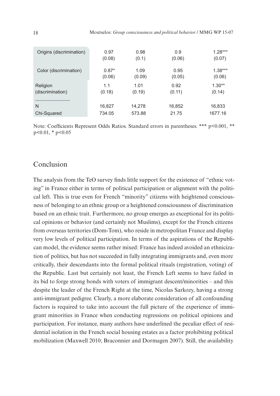| Origins (discrimination) | 0.97    | 0.98   | 0.9    | $1.28***$ |
|--------------------------|---------|--------|--------|-----------|
|                          | (0.08)  | (0.1)  | (0.06) | (0.07)    |
| Color (discrimination)   | $0.87*$ | 1.09   | 0.95   | $1.38***$ |
|                          | (0.06)  | (0.09) | (0.05) | (0.06)    |
| Religion                 | 1.1     | 1.01   | 0.92   | $1.30**$  |
| (discrimination)         | (0.18)  | (0.19) | (0.11) | (0.14)    |
| N                        | 16,827  | 14,278 | 16,852 | 16,833    |
| Chi-Squared              | 734.05  | 573.88 | 21.75  | 1677.16   |

Note: Coefficients Represent Odds Ratios. Standard errors in parentheses. \*\*\* p<0.001, \*\*  $p<0.01$ , \*  $p<0.05$ 

#### Conclusion

The analysis from the TeO survey finds little support for the existence of "ethnic voting" in France either in terms of political participation or alignment with the political left. This is true even for French "minority" citizens with heightened consciousness of belonging to an ethnic group or a heightened consciousness of discrimination based on an ethnic trait. Furthermore, no group emerges as exceptional for its political opinions or behavior (and certainly not Muslims), except for the French citizens from overseas territories (Dom-Tom), who reside in metropolitan France and display very low levels of political participation. In terms of the aspirations of the Republican model, the evidence seems rather mixed: France has indeed avoided an ethnicization of politics, but has not succeeded in fully integrating immigrants and, even more critically, their descendants into the formal political rituals (registration, voting) of the Republic. Last but certainly not least, the French Left seems to have failed in its bid to forge strong bonds with voters of immigrant descent/minorities – and this despite the leader of the French Right at the time, Nicolas Sarkozy, having a strong anti-immigrant pedigree. Clearly, a more elaborate consideration of all confounding factors is required to take into account the full picture of the experience of immigrant minorities in France when conducting regressions on political opinions and participation. For instance, many authors have underlined the peculiar effect of residential isolation in the French social housing estates as a factor prohibiting political mobilization (Maxwell 2010; Braconnier and Dormagen 2007). Still, the availability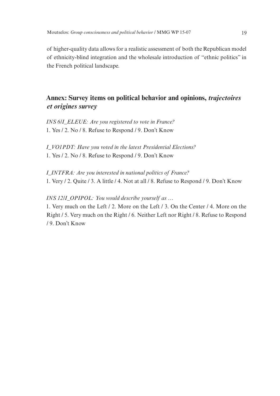of higher-quality data allows for a realistic assessment of both the Republican model of ethnicity-blind integration and the wholesale introduction of "ethnic politics" in the French political landscape.

# **Annex: Survey items on political behavior and opinions,** *trajectoires et origines survey*

*INS 6/I\_ELEUE: Are you registered to vote in France?* 1. Yes / 2. No / 8. Refuse to Respond / 9. Don't Know

*I\_VO1PDT: Have you voted in the latest Presidential Elections?* 1. Yes / 2. No / 8. Refuse to Respond / 9. Don't Know

*I\_INTFRA: Are you interested in national politics of France?* 1. Very / 2. Quite / 3. A little / 4. Not at all / 8. Refuse to Respond / 9. Don't Know

#### *INS 12/I\_OPIPOL: You would describe yourself as …*

1. Very much on the Left / 2. More on the Left / 3. On the Center / 4. More on the Right / 5. Very much on the Right / 6. Neither Left nor Right / 8. Refuse to Respond / 9. Don't Know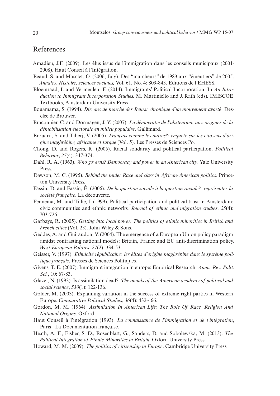#### References

- Amadieu, J.F. (2009). Les élus issus de l'immigration dans les conseils municipaux (2001- 2008). Haut Conseil à l'Intégration.
- Beaud, S. and Masclet, O. (2006, July). Des "marcheurs" de 1983 aux "émeutiers" de 2005. *Annales. Histoire, sciences sociales,* Vol. 61, No. 4: 809-843. Editions de l'EHESS.
- Bloemraad, I. and Vermeulen, F. (2014). Immigrants' Political Incorporation. In *An Introduction to Immigrant Incorporation Studies,* M. Martiniello and J. Rath (eds)*.* IMISCOE Textbooks, Amsterdam University Press.
- Bouamama, S. (1994). *Dix ans de marche des Beurs: chronique d'un mouvement avorté*. Desclée de Brouwer.
- Braconnier, C. and Dormagen, J. Y. (2007). *La démocratie de l'abstention: aux origines de la démobilisation électorale en milieu populaire*. Gallimard.
- Brouard, S. and Tiberj, V. (2005). *Français comme les autres?: enquête sur les citoyens d'origine maghrébine, africaine et turque* (Vol. 5). Les Presses de Sciences Po.
- Chong, D. and Rogers, R. (2005). Racial solidarity and political participation. *Political Behavior*, *27*(4): 347-374.
- Dahl, R. A. (1963). *Who governs? Democracy and power in an American city.* Yale University Press.
- Dawson, M. C. (1995). *Behind the mule: Race and class in African-American politics*. Princeton University Press.
- Fassin, D. and Fassin, É. (2006). *De la question sociale à la question raciale?: représenter la société française*. La découverte.
- Fennema, M. and Tillie, J. (1999). Political participation and political trust in Amsterdam: civic communities and ethnic networks. *Journal of ethnic and migration studies*, *25*(4): 703-726.
- Garbaye, R. (2005). *Getting into local power: The politics of ethnic minorities in British and French cities* (Vol. 23). John Wiley & Sons.
- Geddes, A. and Guiraudon, V. (2004). The emergence of a European Union policy paradigm amidst contrasting national models: Britain, France and EU anti-discrimination policy. *West European Politics*, *27*(2): 334-53.
- Geisser, V. (1997). *Ethnicité républicaine: les élites d'origine maghrébine dans le système politique français*. Presses de Sciences Politiques.
- Givens, T. E. (2007). Immigrant integration in europe: Empirical Research. *Annu. Rev. Polit. Sci.*, 10: 67-83.
- Glazer, N. (1993). Is assimilation dead?. *The annals of the American academy of political and social science*, *530*(1): 122-136.
- Golder, M. (2003). Explaining variation in the success of extreme right parties in Western Europe. *Comparative Political Studies*, *36*(4): 432-466.
- Gordon, M. M. (1964). *Assimilation In American Life: The Role Of Race, Religion And National Origins*. Oxford.
- Haut Conseil à l'intégration (1993). *La connaissance de l'immigration et de l'intégration*, Paris : La Documentation française.
- Heath, A. F., Fisher, S. D., Rosenblatt, G., Sanders, D. and Sobolewska, M. (2013). *The Political Integration of Ethnic Minorities in Britain*. Oxford University Press.
- Howard, M. M. (2009). *The politics of citizenship in Europe*. Cambridge University Press.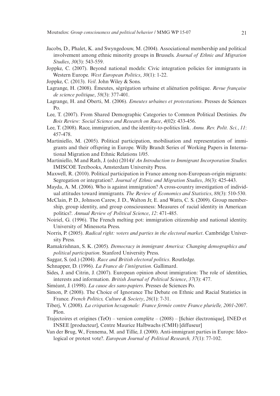- Jacobs, D., Phalet, K. and Swyngedouw, M. (2004). Associational membership and political involvement among ethnic minority groups in Brussels. *Journal of Ethnic and Migration Studies*, *30*(3): 543-559.
- Joppke, C. (2007). Beyond national models: Civic integration policies for immigrants in Western Europe. *West European Politics*, *30*(1): 1-22.
- Joppke, C. (2013). *Veil*. John Wiley & Sons.
- Lagrange, H. (2008). Émeutes, ségrégation urbaine et aliénation politique. *Revue française de science politique*, *58*(3): 377-401.
- Lagrange, H. and Oberti, M. (2006). *Emeutes urbaines et protestations*. Presses de Sciences Po.
- Lee, T. (2007). From Shared Demographic Categories to Common Political Destinies. *Du Bois Review: Social Science and Research on Race*, *4*(02): 433-456.
- Lee, T. (2008). Race, immigration, and the identity-to-politics link. *Annu. Rev. Polit. Sci.*, *11*: 457-478.
- Martiniello, M. (2005). Political participation, mobilisation and representation of immigrants and their offspring in Europe. Willy Brandt Series of Working Papers in International Migration and Ethnic Relations 1/05.
- Martiniello, M and Rath, J. (eds) (2014)/ *An Introduction to Immigrant Incorporation Studies.*  IMISCOE Textbooks, Amsterdam University Press.
- Maxwell, R. (2010). Political participation in France among non-European-origin migrants: Segregation or integration?. *Journal of Ethnic and Migration Studies*, *36*(3): 425-443.
- Mayda, A. M. (2006). Who is against immigration? A cross-country investigation of individual attitudes toward immigrants. *The Review of Economics and Statistics*, *88*(3): 510-530.
- McClain, P. D., Johnson Carew, J. D., Walton Jr, E. and Watts, C. S. (2009). Group membership, group identity, and group consciousness: Measures of racial identity in American politics?. *Annual Review of Political Science*, *12*: 471-485.
- Noiriel, G. (1996). The French melting pot: immigration citizenship and national identity. University of Minessota Press.
- Norris, P. (2005). *Radical right: voters and parties in the electoral market*. Cambridge University Press.
- Ramakrishnan, S. K. (2005). *Democracy in immigrant America: Changing demographics and political participation*. Stanford University Press.
- Saggar, S. (ed.) (2004). *Race and British electoral politics*. Routledge.
- Schnapper, D. (1996). *La France de l'intégration*. Gallimard.
- Sides, J. and Citrin, J. (2007). European opinion about immigration: The role of identities, interests and information. *British Journal of Political Science*, *37*(3): 477.
- Siméant, J. (1998). *La cause des sans-papiers*. Presses de Sciences Po.
- Simon, P. (2008). The Choice of Ignorance The Debate on Ethnic and Racial Statistics in France. *French Politics, Culture & Society*, *26*(1): 7-31.
- Tiberj, V. (2008). *La crispation hexagonale: France fermée contre France plurielle, 2001-2007*. Plon.
- Trajectoires et origines (TeO) version complète (2008) [fichier électronique], INED et INSEE [producteur], Centre Maurice Halbwachs (CMH) [diffuseur]
- Van der Brug, W., Fennema, M. and Tillie, J. (2000). Anti-immigrant parties in Europe: Ideological or protest vote?. *European Journal of Political Research, 37*(1): 77-102.